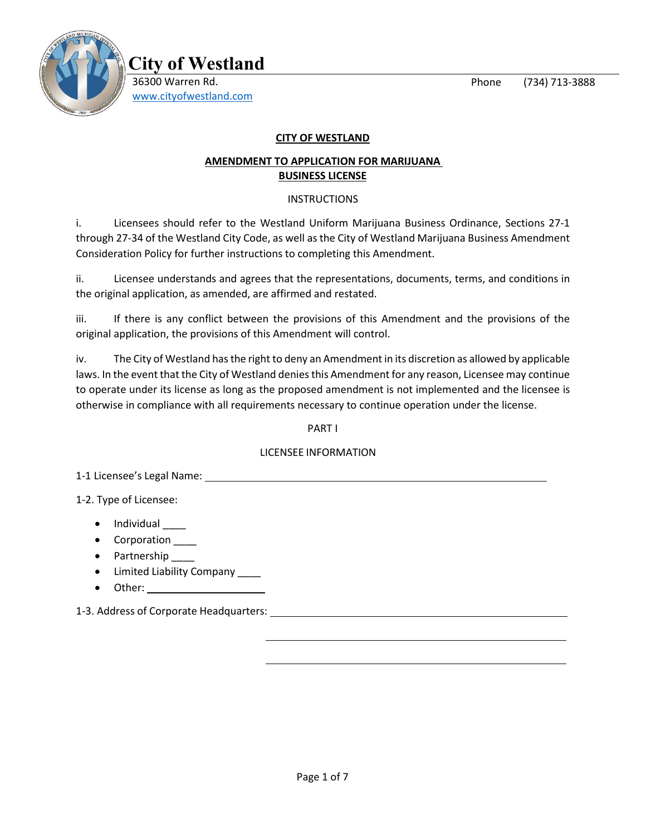Phone (734) 713-3888



**City of Westland** 36300 Warren Rd. [www.cityofwestland.com](http://www.cityofwestland.com/)

## **CITY OF WESTLAND**

## **AMENDMENT TO APPLICATION FOR MARIJUANA BUSINESS LICENSE**

## INSTRUCTIONS

i. Licensees should refer to the Westland Uniform Marijuana Business Ordinance, Sections 27-1 through 27-34 of the Westland City Code, as well as the City of Westland Marijuana Business Amendment Consideration Policy for further instructions to completing this Amendment.

ii. Licensee understands and agrees that the representations, documents, terms, and conditions in the original application, as amended, are affirmed and restated.

iii. If there is any conflict between the provisions of this Amendment and the provisions of the original application, the provisions of this Amendment will control.

iv. The City of Westland has the right to deny an Amendment in its discretion as allowed by applicable laws. In the event that the City of Westland denies this Amendment for any reason, Licensee may continue to operate under its license as long as the proposed amendment is not implemented and the licensee is otherwise in compliance with all requirements necessary to continue operation under the license.

PART I

## LICENSEE INFORMATION

1-1 Licensee's Legal Name:

1-2. Type of Licensee:

- Individual Legation
- Corporation \_\_\_\_\_
- Partnership \_\_\_\_\_
- Limited Liability Company \_\_\_\_
- Other:

1-3. Address of Corporate Headquarters: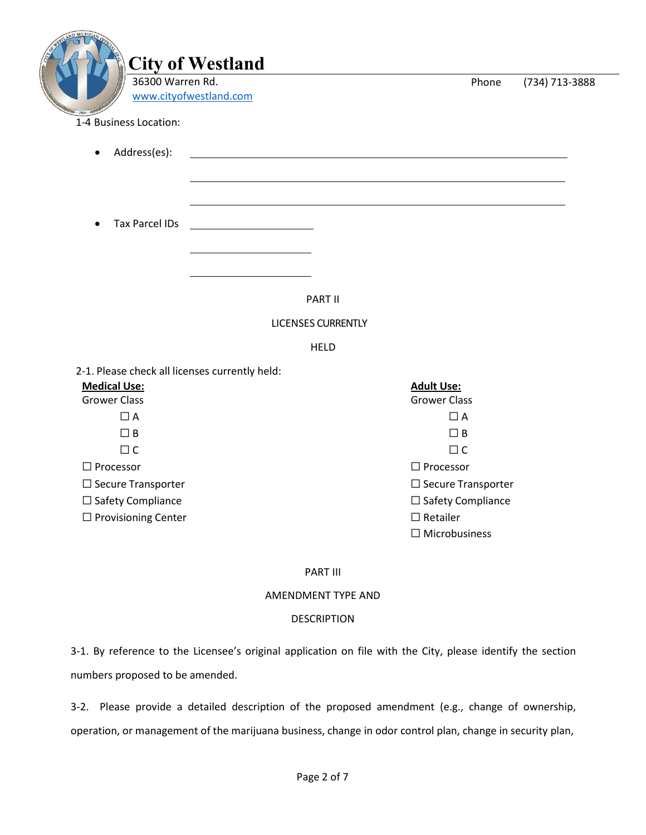| 36300 Warren Rd.<br>www.cityofwestland.com     |                           | Phone                                   | (734) 713-3888 |
|------------------------------------------------|---------------------------|-----------------------------------------|----------------|
| 1-4 Business Location:                         |                           |                                         |                |
| Address(es):                                   |                           |                                         |                |
|                                                |                           |                                         |                |
| <b>Tax Parcel IDs</b><br>$\bullet$             |                           |                                         |                |
|                                                |                           |                                         |                |
|                                                |                           |                                         |                |
|                                                | PART II                   |                                         |                |
|                                                | <b>LICENSES CURRENTLY</b> |                                         |                |
|                                                | <b>HELD</b>               |                                         |                |
| 2-1. Please check all licenses currently held: |                           |                                         |                |
| <b>Medical Use:</b>                            |                           | <b>Adult Use:</b>                       |                |
| <b>Grower Class</b>                            |                           | <b>Grower Class</b>                     |                |
| $\Box$ A                                       |                           | $\Box$ A                                |                |
| $\Box$ B                                       |                           | $\Box$ B                                |                |
| $\Box$ C                                       |                           | $\Box$ C                                |                |
| $\square$ Processor                            |                           | $\Box$ Processor                        |                |
| $\Box$ Secure Transporter                      |                           | $\square$ Secure Transporter            |                |
| □ Safety Compliance                            |                           | □ Safety Compliance                     |                |
| $\Box$ Provisioning Center                     |                           | $\Box$ Retailer<br>$\Box$ Microbusiness |                |

#### AMENDMENT TYPE AND

#### DESCRIPTION

3-1. By reference to the Licensee's original application on file with the City, please identify the section numbers proposed to be amended.

3-2. Please provide a detailed description of the proposed amendment (e.g., change of ownership, operation, or management of the marijuana business, change in odor control plan, change in security plan,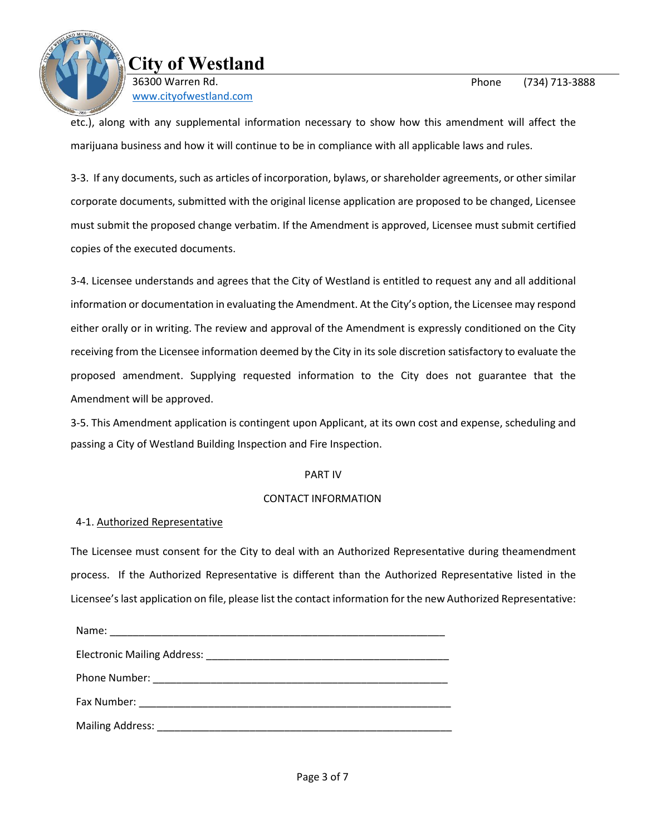

**City of Westland** 36300 Warren Rd. [www.cityofwestland.com](http://www.cityofwestland.com/)

etc.), along with any supplemental information necessary to show how this amendment will affect the marijuana business and how it will continue to be in compliance with all applicable laws and rules.

3-3. If any documents, such as articles of incorporation, bylaws, or shareholder agreements, or other similar corporate documents, submitted with the original license application are proposed to be changed, Licensee must submit the proposed change verbatim. If the Amendment is approved, Licensee must submit certified copies of the executed documents.

3-4. Licensee understands and agrees that the City of Westland is entitled to request any and all additional information or documentation in evaluating the Amendment. At the City's option, the Licensee may respond either orally or in writing. The review and approval of the Amendment is expressly conditioned on the City receiving from the Licensee information deemed by the City in its sole discretion satisfactory to evaluate the proposed amendment. Supplying requested information to the City does not guarantee that the Amendment will be approved.

3-5. This Amendment application is contingent upon Applicant, at its own cost and expense, scheduling and passing a City of Westland Building Inspection and Fire Inspection.

### PART IV

### CONTACT INFORMATION

### 4-1. Authorized Representative

The Licensee must consent for the City to deal with an Authorized Representative during theamendment process. If the Authorized Representative is different than the Authorized Representative listed in the Licensee's last application on file, please list the contact information for the new Authorized Representative: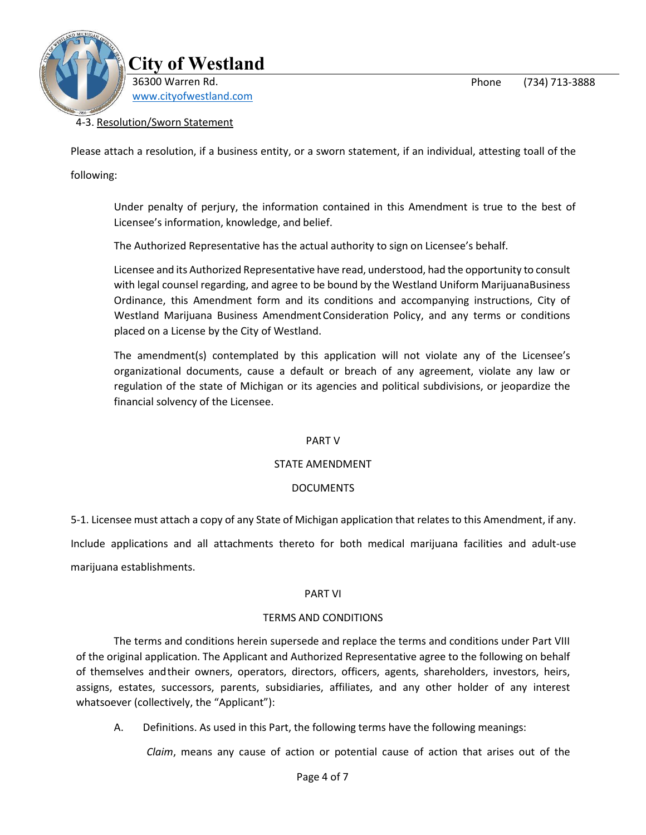Phone (734) 713-3888



## 4-3. Resolution/Sworn Statement

Please attach a resolution, if a business entity, or a sworn statement, if an individual, attesting toall of the

following:

Under penalty of perjury, the information contained in this Amendment is true to the best of Licensee's information, knowledge, and belief.

The Authorized Representative has the actual authority to sign on Licensee's behalf.

Licensee and its Authorized Representative have read, understood, had the opportunity to consult with legal counsel regarding, and agree to be bound by the Westland Uniform MarijuanaBusiness Ordinance, this Amendment form and its conditions and accompanying instructions, City of Westland Marijuana Business AmendmentConsideration Policy, and any terms or conditions placed on a License by the City of Westland.

The amendment(s) contemplated by this application will not violate any of the Licensee's organizational documents, cause a default or breach of any agreement, violate any law or regulation of the state of Michigan or its agencies and political subdivisions, or jeopardize the financial solvency of the Licensee.

### PART V

### STATE AMENDMENT

### DOCUMENTS

5-1. Licensee must attach a copy of any State of Michigan application that relates to this Amendment, if any.

Include applications and all attachments thereto for both medical marijuana facilities and adult-use marijuana establishments.

### PART VI

### TERMS AND CONDITIONS

The terms and conditions herein supersede and replace the terms and conditions under Part VIII of the original application. The Applicant and Authorized Representative agree to the following on behalf of themselves andtheir owners, operators, directors, officers, agents, shareholders, investors, heirs, assigns, estates, successors, parents, subsidiaries, affiliates, and any other holder of any interest whatsoever (collectively, the "Applicant"):

A. Definitions. As used in this Part, the following terms have the following meanings:

*Claim*, means any cause of action or potential cause of action that arises out of the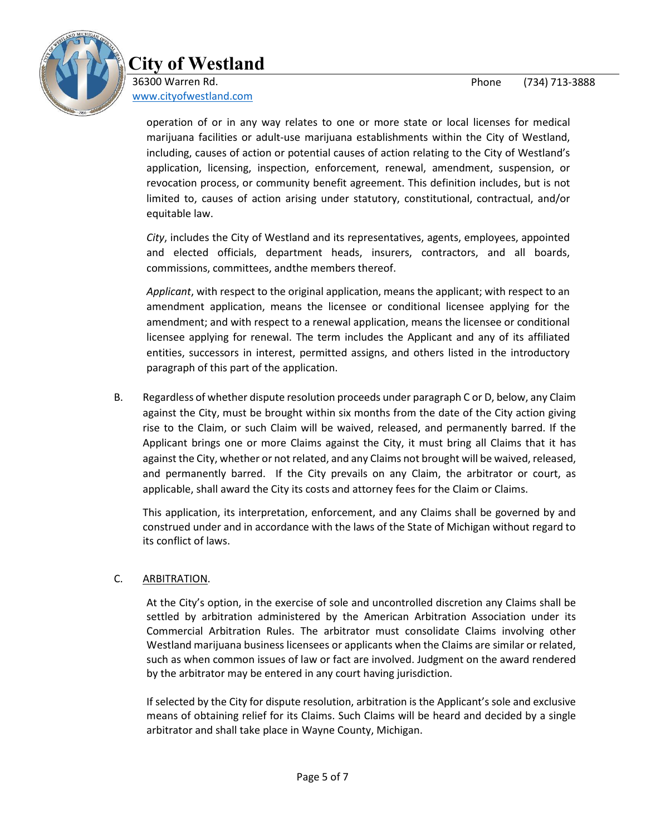

# **City of Westland**

36300 Warren Rd. [www.cityofwestland.com](http://www.cityofwestland.com/)

> operation of or in any way relates to one or more state or local licenses for medical marijuana facilities or adult-use marijuana establishments within the City of Westland, including, causes of action or potential causes of action relating to the City of Westland's application, licensing, inspection, enforcement, renewal, amendment, suspension, or revocation process, or community benefit agreement. This definition includes, but is not limited to, causes of action arising under statutory, constitutional, contractual, and/or equitable law.

> *City*, includes the City of Westland and its representatives, agents, employees, appointed and elected officials, department heads, insurers, contractors, and all boards, commissions, committees, andthe members thereof.

> *Applicant*, with respect to the original application, means the applicant; with respect to an amendment application, means the licensee or conditional licensee applying for the amendment; and with respect to a renewal application, means the licensee or conditional licensee applying for renewal. The term includes the Applicant and any of its affiliated entities, successors in interest, permitted assigns, and others listed in the introductory paragraph of this part of the application.

B. Regardless of whether dispute resolution proceeds under paragraph C or D, below, any Claim against the City, must be brought within six months from the date of the City action giving rise to the Claim, or such Claim will be waived, released, and permanently barred. If the Applicant brings one or more Claims against the City, it must bring all Claims that it has against the City, whether or not related, and any Claims not brought will be waived, released, and permanently barred. If the City prevails on any Claim, the arbitrator or court, as applicable, shall award the City its costs and attorney fees for the Claim or Claims.

This application, its interpretation, enforcement, and any Claims shall be governed by and construed under and in accordance with the laws of the State of Michigan without regard to its conflict of laws.

## C. ARBITRATION.

At the City's option, in the exercise of sole and uncontrolled discretion any Claims shall be settled by arbitration administered by the American Arbitration Association under its Commercial Arbitration Rules. The arbitrator must consolidate Claims involving other Westland marijuana business licensees or applicants when the Claims are similar or related, such as when common issues of law or fact are involved. Judgment on the award rendered by the arbitrator may be entered in any court having jurisdiction.

If selected by the City for dispute resolution, arbitration is the Applicant's sole and exclusive means of obtaining relief for its Claims. Such Claims will be heard and decided by a single arbitrator and shall take place in Wayne County, Michigan.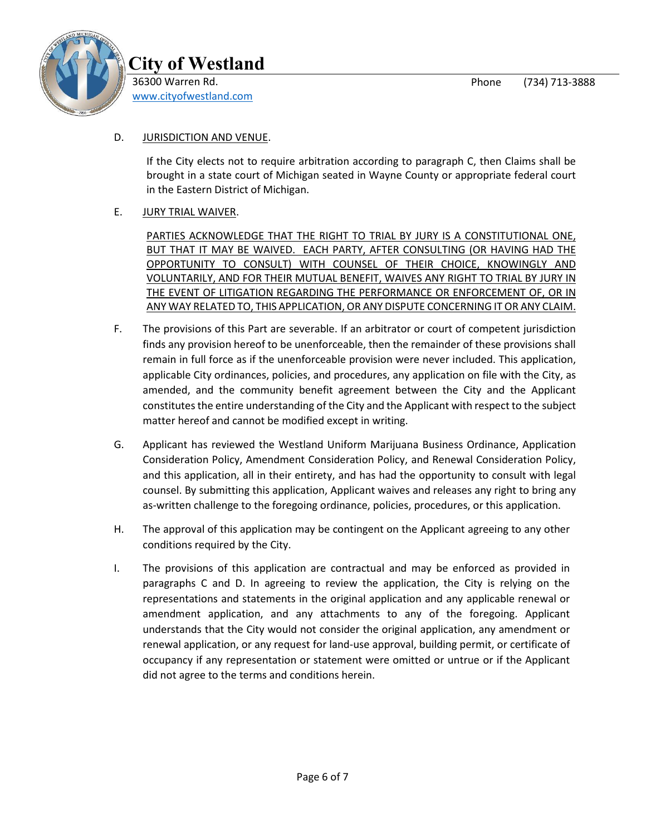

## D. JURISDICTION AND VENUE.

If the City elects not to require arbitration according to paragraph C, then Claims shall be brought in a state court of Michigan seated in Wayne County or appropriate federal court in the Eastern District of Michigan.

# E. JURY TRIAL WAIVER.

PARTIES ACKNOWLEDGE THAT THE RIGHT TO TRIAL BY JURY IS A CONSTITUTIONAL ONE, BUT THAT IT MAY BE WAIVED. EACH PARTY, AFTER CONSULTING (OR HAVING HAD THE OPPORTUNITY TO CONSULT) WITH COUNSEL OF THEIR CHOICE, KNOWINGLY AND VOLUNTARILY, AND FOR THEIR MUTUAL BENEFIT, WAIVES ANY RIGHT TO TRIAL BY JURY IN THE EVENT OF LITIGATION REGARDING THE PERFORMANCE OR ENFORCEMENT OF, OR IN ANY WAY RELATED TO, THIS APPLICATION, OR ANY DISPUTE CONCERNING IT OR ANY CLAIM.

- F. The provisions of this Part are severable. If an arbitrator or court of competent jurisdiction finds any provision hereof to be unenforceable, then the remainder of these provisions shall remain in full force as if the unenforceable provision were never included. This application, applicable City ordinances, policies, and procedures, any application on file with the City, as amended, and the community benefit agreement between the City and the Applicant constitutes the entire understanding of the City and the Applicant with respect to the subject matter hereof and cannot be modified except in writing.
- G. Applicant has reviewed the Westland Uniform Marijuana Business Ordinance, Application Consideration Policy, Amendment Consideration Policy, and Renewal Consideration Policy, and this application, all in their entirety, and has had the opportunity to consult with legal counsel. By submitting this application, Applicant waives and releases any right to bring any as-written challenge to the foregoing ordinance, policies, procedures, or this application.
- H. The approval of this application may be contingent on the Applicant agreeing to any other conditions required by the City.
- I. The provisions of this application are contractual and may be enforced as provided in paragraphs C and D. In agreeing to review the application, the City is relying on the representations and statements in the original application and any applicable renewal or amendment application, and any attachments to any of the foregoing. Applicant understands that the City would not consider the original application, any amendment or renewal application, or any request for land-use approval, building permit, or certificate of occupancy if any representation or statement were omitted or untrue or if the Applicant did not agree to the terms and conditions herein.